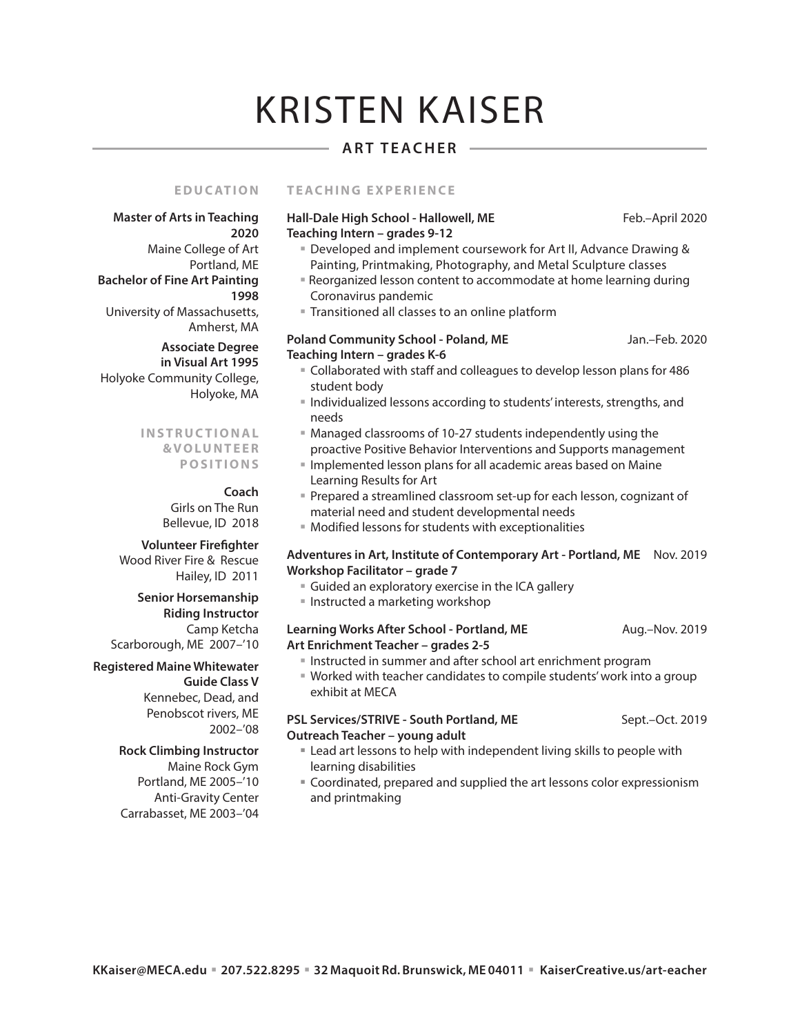# KRISTEN KAISER

## **ART TEACHER**

#### **EDUCATION TEACHING EXPERIENCE**

#### Hall-Dale High School - Hallowell, ME Feb.–April 2020 **Teaching Intern – grades 9-12**

**Master of Arts in Teaching 2020** Maine College of Art Portland, ME **Bachelor of Fine Art Painting 1998** University of Massachusetts, Amherst, MA  **Associate Degree in Visual Art 1995** Holyoke Community College, Holyoke, MA

#### **I N S T R U C T I O N A L & V O LU N T E E R P O S I T I O N S**

#### **Coach**

Girls on The Run Bellevue, ID 2018

#### **Volunteer Firefighter**

Wood River Fire & Rescue Hailey, ID 2011

#### **Senior Horsemanship Riding Instructor**  Camp Ketcha Scarborough, ME 2007–'10

**Registered Maine Whitewater Guide Class V** Kennebec, Dead, and Penobscot rivers, ME 2002–'08

#### **Rock Climbing Instructor**  Maine Rock Gym Portland, ME 2005–'10

Anti-Gravity Center Carrabasset, ME 2003–'04

- Developed and implement coursework for Art II, Advance Drawing & Painting, Printmaking, Photography, and Metal Sculpture classes
- Reorganized lesson content to accommodate at home learning during Coronavirus pandemic
- **Transitioned all classes to an online platform**

#### Poland Community School - Poland, ME Jan.–Feb. 2020 **Teaching Intern – grades K-6**

- Collaborated with staff and colleagues to develop lesson plans for 486 student body
- **Individualized lessons according to students' interests, strengths, and** needs
- Managed classrooms of 10-27 students independently using the proactive Positive Behavior Interventions and Supports management
- **Implemented lesson plans for all academic areas based on Maine** Learning Results for Art
- Prepared a streamlined classroom set-up for each lesson, cognizant of material need and student developmental needs
- Modified lessons for students with exceptionalities

### **Adventures in Art, Institute of Contemporary Art - Portland, ME** Nov. 2019 **Workshop Facilitator – grade 7**

- Guided an exploratory exercise in the ICA gallery
- **Instructed a marketing workshop**

### **Learning Works After School - Portland, ME** Aug.–Nov. 2019 **Art Enrichment Teacher – grades 2-5**

- **Instructed in summer and after school art enrichment program**
- Worked with teacher candidates to compile students' work into a group exhibit at MECA

#### PSL Services/STRIVE - South Portland, ME Sept.–Oct. 2019 **Outreach Teacher – young adult**

- Lead art lessons to help with independent living skills to people with learning disabilities
- Coordinated, prepared and supplied the art lessons color expressionism and printmaking